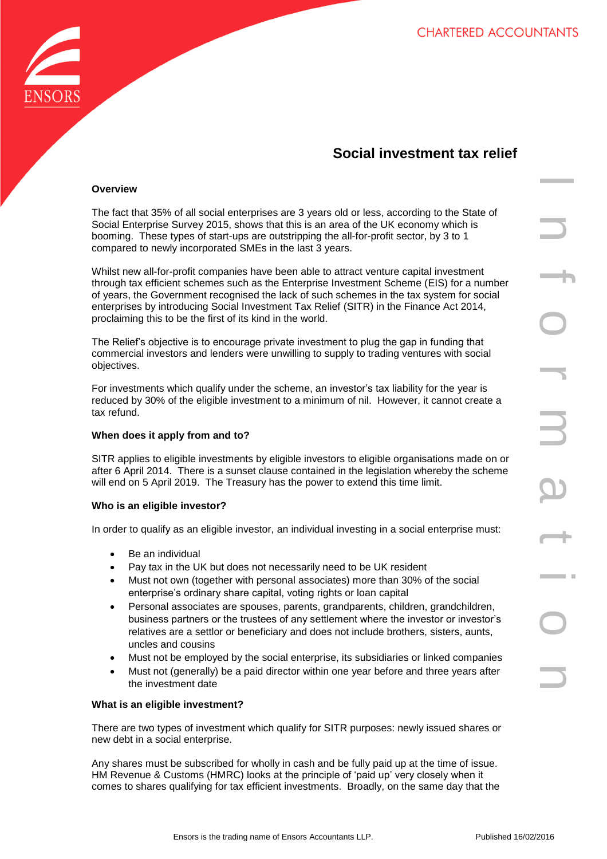

# **Social investment tax relief**

## **Overview**

The fact that 35% of all social enterprises are 3 years old or less, according to the State of Social Enterprise Survey 2015, shows that this is an area of the UK economy which is booming. These types of start-ups are outstripping the all-for-profit sector, by 3 to 1 compared to newly incorporated SMEs in the last 3 years.

Whilst new all-for-profit companies have been able to attract venture capital investment through tax efficient schemes such as the Enterprise Investment Scheme (EIS) for a number of years, the Government recognised the lack of such schemes in the tax system for social enterprises by introducing Social Investment Tax Relief (SITR) in the Finance Act 2014, proclaiming this to be the first of its kind in the world.

The Relief's objective is to encourage private investment to plug the gap in funding that commercial investors and lenders were unwilling to supply to trading ventures with social objectives.

For investments which qualify under the scheme, an investor's tax liability for the year is reduced by 30% of the eligible investment to a minimum of nil. However, it cannot create a tax refund.

### **When does it apply from and to?**

SITR applies to eligible investments by eligible investors to eligible organisations made on or after 6 April 2014. There is a sunset clause contained in the legislation whereby the scheme will end on 5 April 2019. The Treasury has the power to extend this time limit.

### **Who is an eligible investor?**

In order to qualify as an eligible investor, an individual investing in a social enterprise must:

- Be an individual
- Pay tax in the UK but does not necessarily need to be UK resident
- Must not own (together with personal associates) more than 30% of the social enterprise's ordinary share capital, voting rights or loan capital
- Personal associates are spouses, parents, grandparents, children, grandchildren, business partners or the trustees of any settlement where the investor or investor's relatives are a settlor or beneficiary and does not include brothers, sisters, aunts, uncles and cousins
- Must not be employed by the social enterprise, its subsidiaries or linked companies
- Must not (generally) be a paid director within one year before and three years after the investment date

### **What is an eligible investment?**

There are two types of investment which qualify for SITR purposes: newly issued shares or new debt in a social enterprise.

Any shares must be subscribed for wholly in cash and be fully paid up at the time of issue. HM Revenue & Customs (HMRC) looks at the principle of 'paid up' very closely when it comes to shares qualifying for tax efficient investments. Broadly, on the same day that the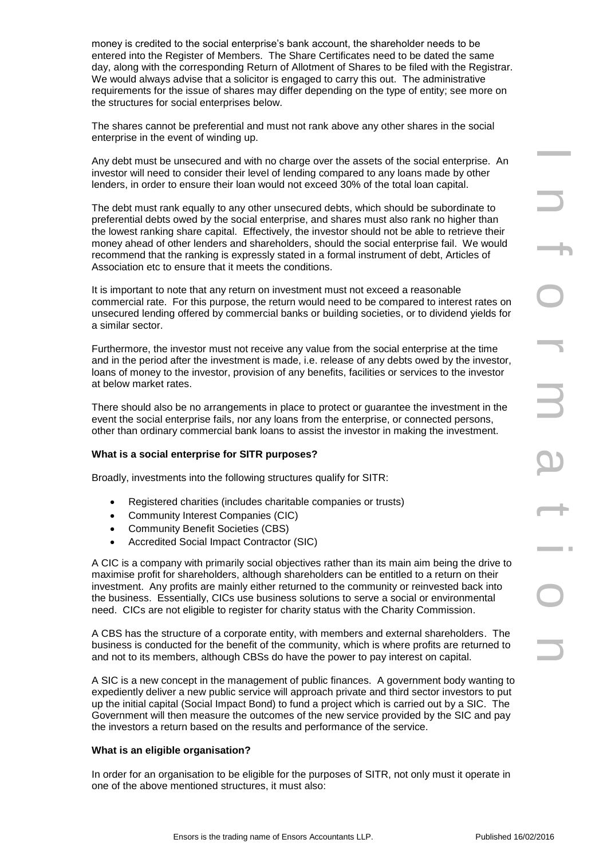money is credited to the social enterprise's bank account, the shareholder needs to be entered into the Register of Members. The Share Certificates need to be dated the same day, along with the corresponding Return of Allotment of Shares to be filed with the Registrar. We would always advise that a solicitor is engaged to carry this out. The administrative requirements for the issue of shares may differ depending on the type of entity; see more on the structures for social enterprises below.

The shares cannot be preferential and must not rank above any other shares in the social enterprise in the event of winding up.

Any debt must be unsecured and with no charge over the assets of the social enterprise. An investor will need to consider their level of lending compared to any loans made by other lenders, in order to ensure their loan would not exceed 30% of the total loan capital.

unsecured and with no charge over the assets of the social andeption.<br>
An one consider the transformation of the consider of the social enterprene is ensuitable to any determined the transformation of the state of the soci The debt must rank equally to any other unsecured debts, which should be subordinate to preferential debts owed by the social enterprise, and shares must also rank no higher than the lowest ranking share capital. Effectively, the investor should not be able to retrieve their money ahead of other lenders and shareholders, should the social enterprise fail. We would recommend that the ranking is expressly stated in a formal instrument of debt, Articles of Association etc to ensure that it meets the conditions.

It is important to note that any return on investment must not exceed a reasonable commercial rate. For this purpose, the return would need to be compared to interest rates on unsecured lending offered by commercial banks or building societies, or to dividend yields for a similar sector.

Furthermore, the investor must not receive any value from the social enterprise at the time and in the period after the investment is made, i.e. release of any debts owed by the investor, loans of money to the investor, provision of any benefits, facilities or services to the investor at below market rates.

There should also be no arrangements in place to protect or guarantee the investment in the event the social enterprise fails, nor any loans from the enterprise, or connected persons, other than ordinary commercial bank loans to assist the investor in making the investment.

### **What is a social enterprise for SITR purposes?**

Broadly, investments into the following structures qualify for SITR:

- Registered charities (includes charitable companies or trusts)
- Community Interest Companies (CIC)
- Community Benefit Societies (CBS)
- Accredited Social Impact Contractor (SIC)

A CIC is a company with primarily social objectives rather than its main aim being the drive to maximise profit for shareholders, although shareholders can be entitled to a return on their investment. Any profits are mainly either returned to the community or reinvested back into the business. Essentially, CICs use business solutions to serve a social or environmental need. CICs are not eligible to register for charity status with the Charity Commission.

A CBS has the structure of a corporate entity, with members and external shareholders. The business is conducted for the benefit of the community, which is where profits are returned to and not to its members, although CBSs do have the power to pay interest on capital.

A SIC is a new concept in the management of public finances. A government body wanting to expediently deliver a new public service will approach private and third sector investors to put up the initial capital (Social Impact Bond) to fund a project which is carried out by a SIC. The Government will then measure the outcomes of the new service provided by the SIC and pay the investors a return based on the results and performance of the service.

### **What is an eligible organisation?**

In order for an organisation to be eligible for the purposes of SITR, not only must it operate in one of the above mentioned structures, it must also: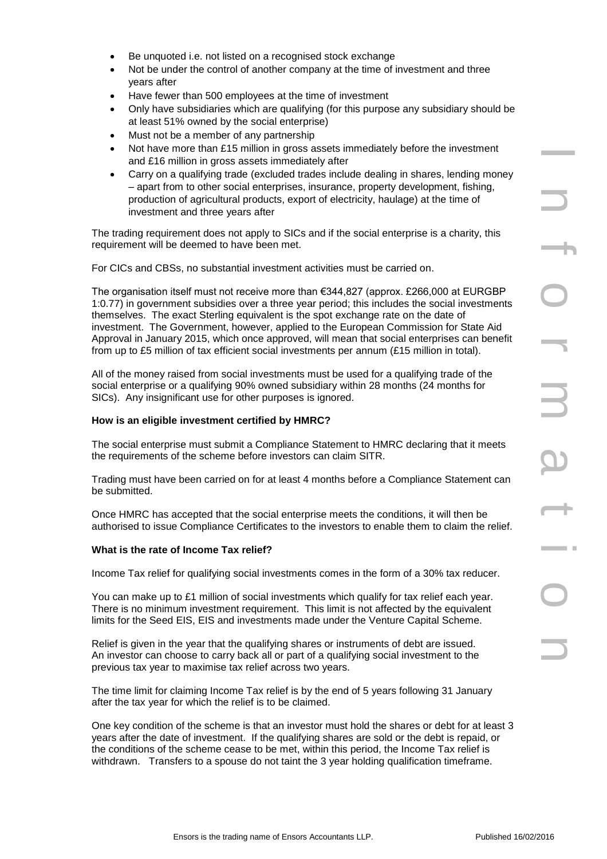- Be unquoted i.e. not listed on a recognised stock exchange
- Not be under the control of another company at the time of investment and three years after
- Have fewer than 500 employees at the time of investment
- Only have subsidiaries which are qualifying (for this purpose any subsidiary should be at least 51% owned by the social enterprise)
- Must not be a member of any partnership
- Not have more than £15 million in gross assets immediately before the investment and £16 million in gross assets immediately after
- Carry on a qualifying trade (excluded trades include dealing in shares, lending money – apart from to other social enterprises, insurance, property development, fishing, production of agricultural products, export of electricity, haulage) at the time of investment and three years after

The trading requirement does not apply to SICs and if the social enterprise is a charity, this requirement will be deemed to have been met.

For CICs and CBSs, no substantial investment activities must be carried on.

illion in greas assists immediately after<br>is the trading in control and the trading in the scheme of the trading in change in a matrix for the trading in<br>method of a product and control and the scheme property development, The organisation itself must not receive more than €344,827 (approx. £266,000 at EURGBP 1:0.77) in government subsidies over a three year period; this includes the social investments themselves. The exact Sterling equivalent is the spot exchange rate on the date of investment. The Government, however, applied to the European Commission for State Aid Approval in January 2015, which once approved, will mean that social enterprises can benefit from up to £5 million of tax efficient social investments per annum (£15 million in total).

All of the money raised from social investments must be used for a qualifying trade of the social enterprise or a qualifying 90% owned subsidiary within 28 months (24 months for SICs). Any insignificant use for other purposes is ignored.

# **How is an eligible investment certified by HMRC?**

The social enterprise must submit a Compliance Statement to HMRC declaring that it meets the requirements of the scheme before investors can claim SITR.

Trading must have been carried on for at least 4 months before a Compliance Statement can be submitted.

Once HMRC has accepted that the social enterprise meets the conditions, it will then be authorised to issue Compliance Certificates to the investors to enable them to claim the relief.

# **What is the rate of Income Tax relief?**

Income Tax relief for qualifying social investments comes in the form of a 30% tax reducer.

You can make up to £1 million of social investments which qualify for tax relief each year. There is no minimum investment requirement. This limit is not affected by the equivalent limits for the Seed EIS, EIS and investments made under the Venture Capital Scheme.

Relief is given in the year that the qualifying shares or instruments of debt are issued. An investor can choose to carry back all or part of a qualifying social investment to the previous tax year to maximise tax relief across two years.

The time limit for claiming Income Tax relief is by the end of 5 years following 31 January after the tax year for which the relief is to be claimed.

One key condition of the scheme is that an investor must hold the shares or debt for at least 3 years after the date of investment. If the qualifying shares are sold or the debt is repaid, or the conditions of the scheme cease to be met, within this period, the Income Tax relief is withdrawn. Transfers to a spouse do not taint the 3 year holding qualification timeframe.